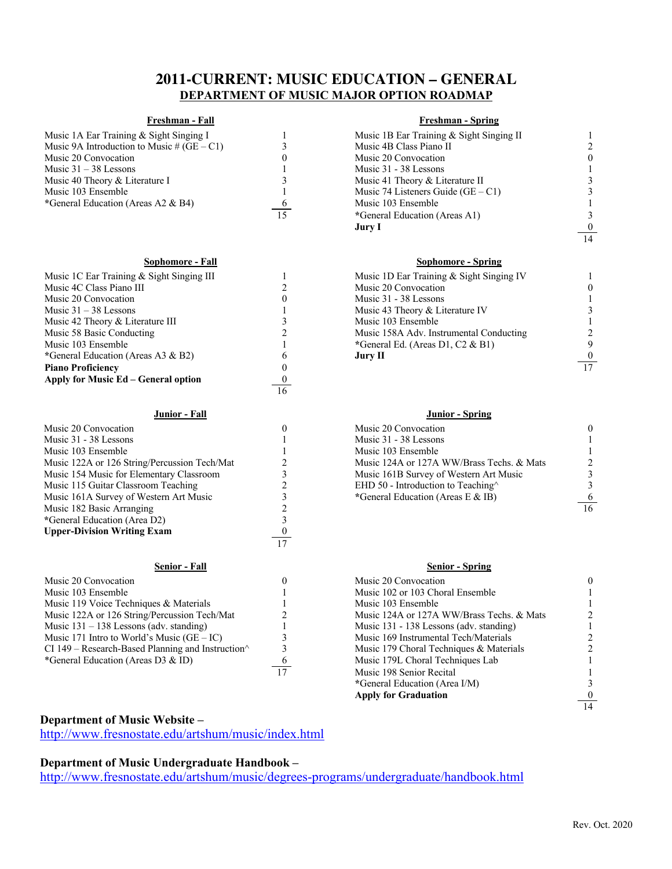# **2011-CURRENT: MUSIC EDUCATION – GENERAL DEPARTMENT OF MUSIC MAJOR OPTION ROADMAP**

| Music 1A Ear Training & Sight Singing I    |  |
|--------------------------------------------|--|
| Music 9A Introduction to Music # (GE – C1) |  |
| Music 20 Convocation                       |  |
| Music $31 - 38$ Lessons                    |  |
| Music 40 Theory & Literature I             |  |
| Music 103 Ensemble                         |  |
| *General Education (Areas A2 & B4)         |  |
|                                            |  |

| Music 1C Ear Training & Sight Singing III |    | Music 1D Ear Training & Sight Singing IV |                 |
|-------------------------------------------|----|------------------------------------------|-----------------|
| Music 4C Class Piano III                  |    | Music 20 Convocation                     |                 |
| Music 20 Convocation                      |    | Music 31 - 38 Lessons                    |                 |
| Music $31 - 38$ Lessons                   |    | Music 43 Theory & Literature IV          |                 |
| Music 42 Theory & Literature III          |    | Music 103 Ensemble                       |                 |
| Music 58 Basic Conducting                 |    | Music 158A Adv. Instrumental Conducting  |                 |
| Music 103 Ensemble                        |    | *General Ed. (Areas D1, C2 & B1)         |                 |
| *General Education (Areas A3 & B2)        |    | Jury II                                  | $\mathbf{0}$    |
| <b>Piano Proficiency</b>                  |    |                                          | $\overline{17}$ |
| Apply for Music Ed – General option       |    |                                          |                 |
|                                           | 16 |                                          |                 |

### **Junior - Fall Junior - Spring**

| Music 20 Convocation                                      |    | Music 20 Convocation                       |    |
|-----------------------------------------------------------|----|--------------------------------------------|----|
| Music 31 - 38 Lessons                                     |    | Music 31 - 38 Lessons                      |    |
| Music 103 Ensemble                                        |    | Music 103 Ensemble                         |    |
| Music 122A or 126 String/Percussion Tech/Mat              |    | Music 124A or 127A WW/Brass Techs, & Mats  |    |
| Music 154 Music for Elementary Classroom                  |    | Music 161B Survey of Western Art Music     |    |
| Music 115 Guitar Classroom Teaching                       |    | EHD 50 - Introduction to Teaching $\wedge$ |    |
| Music 161A Survey of Western Art Music                    |    | *General Education (Areas E & IB)          |    |
| Music 182 Basic Arranging                                 |    |                                            | 16 |
| *General Education (Area D2)                              |    |                                            |    |
| <b>Upper-Division Writing Exam</b>                        |    |                                            |    |
|                                                           | 17 |                                            |    |
| <b>Senior - Fall</b>                                      |    | <b>Senior - Spring</b>                     |    |
| Music 20 Convocation                                      |    | Music 20 Convocation                       |    |
| Music 103 Ensemble                                        |    | Music 102 or 103 Choral Ensemble           |    |
| Music 119 Voice Techniques & Materials                    |    | Music 103 Ensemble                         |    |
| Music 122A or 126 String/Percussion Tech/Mat              |    | Music 124A or 127A WW/Brass Techs. & Mats  |    |
| Music $131 - 138$ Lessons (adv. standing)                 |    | Music 131 - 138 Lessons (adv. standing)    |    |
| Music 171 Intro to World's Music $(GE – IC)$              |    | Music 169 Instrumental Tech/Materials      |    |
| CI 149 – Research-Based Planning and Instruction $\wedge$ |    | Music 179 Choral Techniques & Materials    |    |
| *General Education (Areas D3 & ID)                        | 6  | Music 179L Choral Techniques Lab           |    |
|                                                           | 17 | Music 198 Senior Recital                   |    |

## **Freshman - Fall Freshman - Spring**

| Music 1A Ear Training & Sight Singing I      |          | Music 1B Ear Training & Sight Singing II |                               |
|----------------------------------------------|----------|------------------------------------------|-------------------------------|
| Music 9A Introduction to Music # $(GE - C1)$ |          | Music 4B Class Piano II                  | $\mathfrak{D}_{\mathfrak{p}}$ |
| Music 20 Convocation                         |          | Music 20 Convocation                     | $\theta$                      |
| Music $31 - 38$ Lessons                      |          | Music 31 - 38 Lessons                    |                               |
| Music 40 Theory & Literature I               |          | Music 41 Theory & Literature II          |                               |
| Music 103 Ensemble                           |          | Music 74 Listeners Guide $(GE - C1)$     |                               |
| *General Education (Areas A2 & B4)           | $\sigma$ | Music 103 Ensemble                       |                               |
|                                              | 15       | *General Education (Areas A1)            |                               |
|                                              |          | Jury I                                   |                               |
|                                              |          |                                          | $\frac{0}{14}$                |

## **Sophomore - Fall Sophomore - Spring**

| Music 1D Ear Training & Sight Singing IV |  |
|------------------------------------------|--|
| Music 20 Convocation                     |  |
| Music 31 - 38 Lessons                    |  |
| Music 43 Theory & Literature IV          |  |
| Music 103 Ensemble                       |  |
| Music 158A Adv. Instrumental Conducting  |  |
| General Ed. (Areas D1, C2 & B1)          |  |
| Jury II                                  |  |
|                                          |  |

| Music 20 Convocation                      |  |
|-------------------------------------------|--|
| Music 31 - 38 Lessons                     |  |
| Music 103 Ensemble                        |  |
| Music 124A or 127A WW/Brass Techs, & Mats |  |
| Music 161B Survey of Western Art Music    |  |
| EHD 50 - Introduction to Teaching^        |  |
| *General Education (Areas E & IB)         |  |
|                                           |  |

### **Senior - Fall Senior - Spring**

|    | Music 20 Convocation                      |  |
|----|-------------------------------------------|--|
|    | Music 102 or 103 Choral Ensemble          |  |
|    | Music 103 Ensemble                        |  |
|    | Music 124A or 127A WW/Brass Techs. & Mats |  |
|    | Music 131 - 138 Lessons (adv. standing)   |  |
|    | Music 169 Instrumental Tech/Materials     |  |
|    | Music 179 Choral Techniques & Materials   |  |
|    | Music 179L Choral Techniques Lab          |  |
| 17 | Music 198 Senior Recital                  |  |
|    | *General Education (Area I/M)             |  |
|    | <b>Apply for Graduation</b>               |  |
|    |                                           |  |

## **Department of Music Website –**

http://www.fresnostate.edu/artshum/music/index.html

## **Department of Music Undergraduate Handbook –**

http://www.fresnostate.edu/artshum/music/degrees-programs/undergraduate/handbook.html